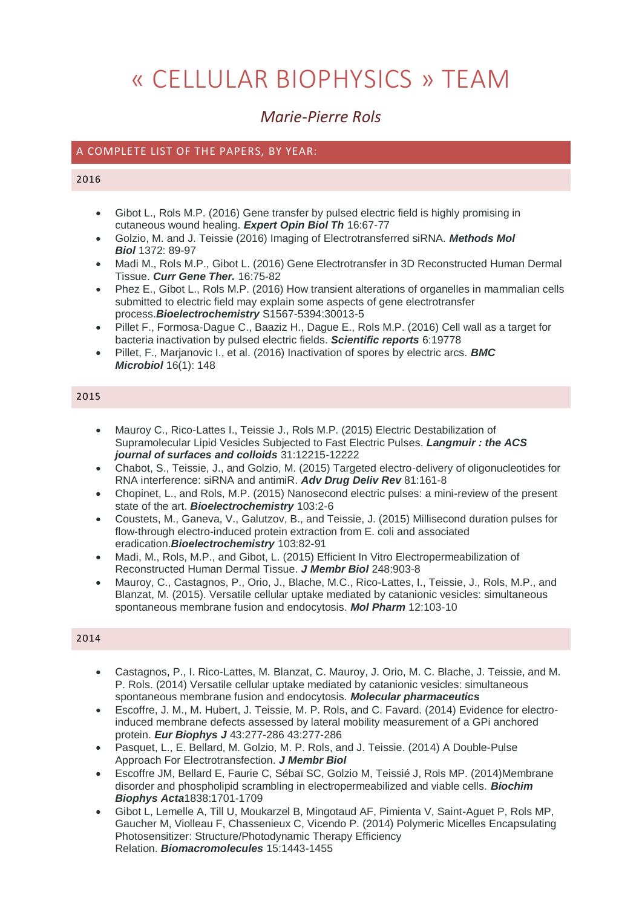# « CELLULAR BIOPHYSICS » TEAM

# *Marie-Pierre Rols*

### A COMPLETE LIST OF THE PAPERS, BY YEAR:

#### 2016

- Gibot L., Rols M.P. (2016) Gene transfer by pulsed electric field is highly promising in cutaneous wound healing. *Expert Opin Biol Th* 16:67-77
- Golzio, M. and J. Teissie (2016) Imaging of Electrotransferred siRNA. *Methods Mol Biol* 1372: 89-97
- Madi M., Rols M.P., Gibot L. (2016) Gene Electrotransfer in 3D Reconstructed Human Dermal Tissue. *Curr Gene Ther.* 16:75-82
- Phez E., Gibot L., Rols M.P. (2016) How transient alterations of organelles in mammalian cells submitted to electric field may explain some aspects of gene electrotransfer process.*Bioelectrochemistry* S1567-5394:30013-5
- Pillet F., Formosa-Dague C., Baaziz H., Dague E., Rols M.P. (2016) Cell wall as a target for bacteria inactivation by pulsed electric fields. *Scientific reports* 6:19778
- Pillet, F., Marjanovic I., et al. (2016) Inactivation of spores by electric arcs. *BMC Microbiol* 16(1): 148

#### 2015

- Mauroy C., Rico-Lattes I., Teissie J., Rols M.P. (2015) Electric Destabilization of Supramolecular Lipid Vesicles Subjected to Fast Electric Pulses. *Langmuir : the ACS journal of surfaces and colloids* 31:12215-12222
- Chabot, S., Teissie, J., and Golzio, M. (2015) Targeted electro-delivery of oligonucleotides for RNA interference: siRNA and antimiR. *Adv Drug Deliv Rev* 81:161-8
- Chopinet, L., and Rols, M.P. (2015) Nanosecond electric pulses: a mini-review of the present state of the art. *Bioelectrochemistry* 103:2-6
- Coustets, M., Ganeva, V., Galutzov, B., and Teissie, J. (2015) Millisecond duration pulses for flow-through electro-induced protein extraction from E. coli and associated eradication.*Bioelectrochemistry* 103:82-91
- Madi, M., Rols, M.P., and Gibot, L. (2015) Efficient In Vitro Electropermeabilization of Reconstructed Human Dermal Tissue. *J Membr Biol* 248:903-8
- Mauroy, C., Castagnos, P., Orio, J., Blache, M.C., Rico-Lattes, I., Teissie, J., Rols, M.P., and Blanzat, M. (2015). Versatile cellular uptake mediated by catanionic vesicles: simultaneous spontaneous membrane fusion and endocytosis. *Mol Pharm* 12:103-10

- Castagnos, P., I. Rico-Lattes, M. Blanzat, C. Mauroy, J. Orio, M. C. Blache, J. Teissie, and M. P. Rols. (2014) Versatile cellular uptake mediated by catanionic vesicles: simultaneous spontaneous membrane fusion and endocytosis. *Molecular pharmaceutics*
- Escoffre, J. M., M. Hubert, J. Teissie, M. P. Rols, and C. Favard. (2014) Evidence for electroinduced membrane defects assessed by lateral mobility measurement of a GPi anchored protein. *Eur Biophys J* 43:277-286 43:277-286
- Pasquet, L., E. Bellard, M. Golzio, M. P. Rols, and J. Teissie. (2014) A Double-Pulse Approach For Electrotransfection. *J Membr Biol*
- Escoffre JM, Bellard E, Faurie C, Sébaï SC, Golzio M, Teissié J, Rols MP. (2014)Membrane disorder and phospholipid scrambling in electropermeabilized and viable cells. *Biochim Biophys Acta*1838:1701-1709
- Gibot L, Lemelle A, Till U, Moukarzel B, Mingotaud AF, Pimienta V, Saint-Aguet P, Rols MP, Gaucher M, Violleau F, Chassenieux C, Vicendo P. (2014) Polymeric Micelles Encapsulating Photosensitizer: Structure/Photodynamic Therapy Efficiency Relation. *Biomacromolecules* 15:1443-1455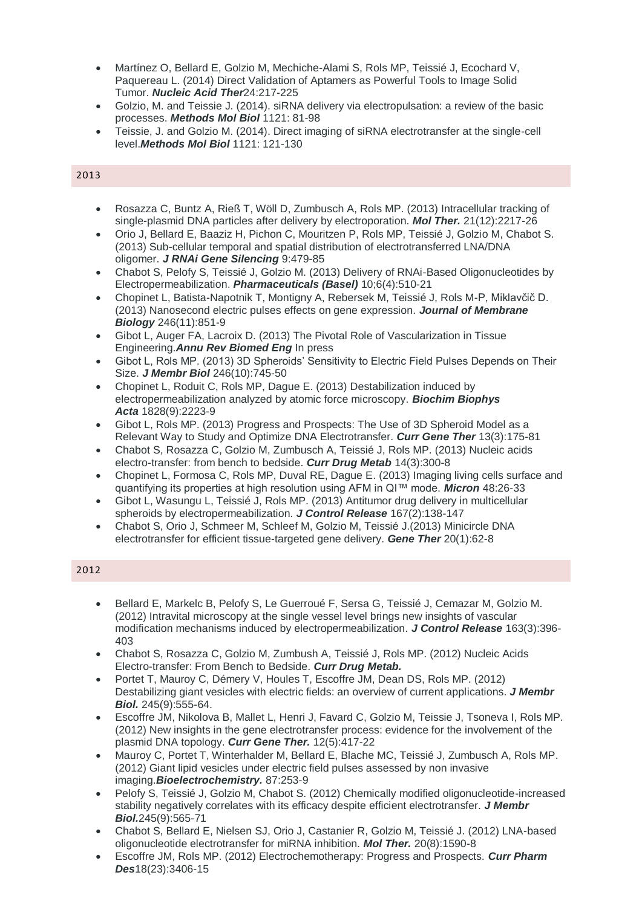- Martínez O, Bellard E, Golzio M, Mechiche-Alami S, Rols MP, Teissié J, Ecochard V, Paquereau L. (2014) Direct Validation of Aptamers as Powerful Tools to Image Solid Tumor. *Nucleic Acid Ther*24:217-225
- Golzio, M. and Teissie J. (2014). siRNA delivery via electropulsation: a review of the basic processes. *Methods Mol Biol* 1121: 81-98
- Teissie, J. and Golzio M. (2014). Direct imaging of siRNA electrotransfer at the single-cell level.*Methods Mol Biol* 1121: 121-130

- Rosazza C, Buntz A, Rieß T, Wöll D, Zumbusch A, Rols MP. (2013) Intracellular tracking of single-plasmid DNA particles after delivery by electroporation. *Mol Ther.* 21(12):2217-26
- Orio J, Bellard E, Baaziz H, Pichon C, Mouritzen P, Rols MP, Teissié J, Golzio M, Chabot S. (2013) Sub-cellular temporal and spatial distribution of electrotransferred LNA/DNA oligomer. *J RNAi Gene Silencing* 9:479-85
- Chabot S, Pelofy S, Teissié J, Golzio M. (2013) Delivery of RNAi-Based Oligonucleotides by Electropermeabilization. *Pharmaceuticals (Basel)* 10;6(4):510-21
- Chopinet L, Batista-Napotnik T, Montigny A, Rebersek M, Teissié J, Rols M-P, Miklavčič D. (2013) Nanosecond electric pulses effects on gene expression. *Journal of Membrane Biology* 246(11):851-9
- Gibot L, Auger FA, Lacroix D. (2013) The Pivotal Role of Vascularization in Tissue Engineering.*Annu Rev Biomed Eng* In press
- Gibot L, Rols MP. (2013) 3D Spheroids' Sensitivity to Electric Field Pulses Depends on Their Size. *J Membr Biol* 246(10):745-50
- Chopinet L, Roduit C, Rols MP, Dague E. (2013) Destabilization induced by electropermeabilization analyzed by atomic force microscopy. *Biochim Biophys Acta* 1828(9):2223-9
- Gibot L, Rols MP. (2013) Progress and Prospects: The Use of 3D Spheroid Model as a Relevant Way to Study and Optimize DNA Electrotransfer. *Curr Gene Ther* 13(3):175-81
- Chabot S, Rosazza C, Golzio M, Zumbusch A, Teissié J, Rols MP. (2013) Nucleic acids electro-transfer: from bench to bedside. *Curr Drug Metab* 14(3):300-8
- Chopinet L, Formosa C, Rols MP, Duval RE, Dague E. (2013) Imaging living cells surface and quantifying its properties at high resolution using AFM in QI™ mode. *Micron* 48:26-33
- Gibot L, Wasungu L, Teissié J, Rols MP. (2013) Antitumor drug delivery in multicellular spheroids by electropermeabilization. *J Control Release* 167(2):138-147
- Chabot S, Orio J, Schmeer M, Schleef M, Golzio M, Teissié J.(2013) Minicircle DNA electrotransfer for efficient tissue-targeted gene delivery. *Gene Ther* 20(1):62-8

- Bellard E, Markelc B, Pelofy S, Le Guerroué F, Sersa G, Teissié J, Cemazar M, Golzio M. (2012) Intravital microscopy at the single vessel level brings new insights of vascular modification mechanisms induced by electropermeabilization. *J Control Release* 163(3):396- 403
- Chabot S, Rosazza C, Golzio M, Zumbush A, Teissié J, Rols MP. (2012) Nucleic Acids Electro-transfer: From Bench to Bedside. *Curr Drug Metab.*
- Portet T, Mauroy C, Démery V, Houles T, Escoffre JM, Dean DS, Rols MP. (2012) Destabilizing giant vesicles with electric fields: an overview of current applications. *J Membr Biol.* 245(9):555-64.
- Escoffre JM, Nikolova B, Mallet L, Henri J, Favard C, Golzio M, Teissie J, Tsoneva I, Rols MP. (2012) New insights in the gene electrotransfer process: evidence for the involvement of the plasmid DNA topology. *Curr Gene Ther.* 12(5):417-22
- Mauroy C, Portet T, Winterhalder M, Bellard E, Blache MC, Teissié J, Zumbusch A, Rols MP. (2012) Giant lipid vesicles under electric field pulses assessed by non invasive imaging.*Bioelectrochemistry.* 87:253-9
- Pelofy S, Teissié J, Golzio M, Chabot S. (2012) Chemically modified oligonucleotide-increased stability negatively correlates with its efficacy despite efficient electrotransfer. *J Membr Biol.*245(9):565-71
- Chabot S, Bellard E, Nielsen SJ, Orio J, Castanier R, Golzio M, Teissié J. (2012) LNA-based oligonucleotide electrotransfer for miRNA inhibition. *Mol Ther.* 20(8):1590-8
- Escoffre JM, Rols MP. (2012) Electrochemotherapy: Progress and Prospects. *Curr Pharm Des*18(23):3406-15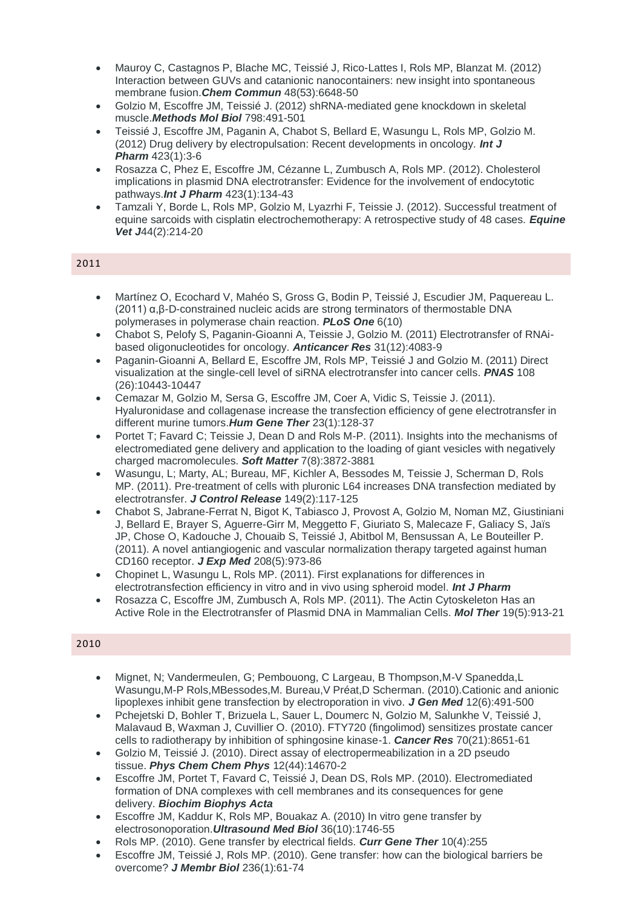- Mauroy C, Castagnos P, Blache MC, Teissié J, Rico-Lattes I, Rols MP, Blanzat M. (2012) Interaction between GUVs and catanionic nanocontainers: new insight into spontaneous membrane fusion.*Chem Commun* 48(53):6648-50
- Golzio M, Escoffre JM, Teissié J. (2012) shRNA-mediated gene knockdown in skeletal muscle.*Methods Mol Biol* 798:491-501
- Teissié J, Escoffre JM, Paganin A, Chabot S, Bellard E, Wasungu L, Rols MP, Golzio M. (2012) Drug delivery by electropulsation: Recent developments in oncology. *Int J Pharm* 423(1):3-6
- Rosazza C, Phez E, Escoffre JM, Cézanne L, Zumbusch A, Rols MP. (2012). Cholesterol implications in plasmid DNA electrotransfer: Evidence for the involvement of endocytotic pathways.*Int J Pharm* 423(1):134-43
- Tamzali Y, Borde L, Rols MP, Golzio M, Lyazrhi F, Teissie J. (2012). Successful treatment of equine sarcoids with cisplatin electrochemotherapy: A retrospective study of 48 cases. *Equine Vet J*44(2):214-20

- Martínez O, Ecochard V, Mahéo S, Gross G, Bodin P, Teissié J, Escudier JM, Paquereau L. (2011) α,β-D-constrained nucleic acids are strong terminators of thermostable DNA polymerases in polymerase chain reaction. *PLoS One* 6(10)
- Chabot S, Pelofy S, Paganin-Gioanni A, Teissie J, Golzio M. (2011) Electrotransfer of RNAibased oligonucleotides for oncology. *Anticancer Res* 31(12):4083-9
- Paganin-Gioanni A, Bellard E, Escoffre JM, Rols MP, Teissié J and Golzio M. (2011) Direct visualization at the single-cell level of siRNA electrotransfer into cancer cells. *PNAS* 108 (26):10443-10447
- Cemazar M, Golzio M, Sersa G, Escoffre JM, Coer A, Vidic S, Teissie J. (2011). Hyaluronidase and collagenase increase the transfection efficiency of gene electrotransfer in different murine tumors.*Hum Gene Ther* 23(1):128-37
- Portet T; Favard C; Teissie J, Dean D and Rols M-P. (2011). Insights into the mechanisms of electromediated gene delivery and application to the loading of giant vesicles with negatively charged macromolecules. *Soft Matter* 7(8):3872-3881
- Wasungu, L; Marty, AL; Bureau, MF, Kichler A, Bessodes M, Teissie J, Scherman D, Rols MP. (2011). Pre-treatment of cells with pluronic L64 increases DNA transfection mediated by electrotransfer. *J Control Release* 149(2):117-125
- Chabot S, Jabrane-Ferrat N, Bigot K, Tabiasco J, Provost A, Golzio M, Noman MZ, Giustiniani J, Bellard E, Brayer S, Aguerre-Girr M, Meggetto F, Giuriato S, Malecaze F, Galiacy S, Jaïs JP, Chose O, Kadouche J, Chouaib S, Teissié J, Abitbol M, Bensussan A, Le Bouteiller P. (2011). A novel antiangiogenic and vascular normalization therapy targeted against human CD160 receptor. *J Exp Med* 208(5):973-86
- Chopinet L, Wasungu L, Rols MP. (2011). First explanations for differences in electrotransfection efficiency in vitro and in vivo using spheroid model. *Int J Pharm*
- Rosazza C, Escoffre JM, Zumbusch A, Rols MP. (2011). The Actin Cytoskeleton Has an Active Role in the Electrotransfer of Plasmid DNA in Mammalian Cells. *Mol Ther* 19(5):913-21

- Mignet, N; Vandermeulen, G; Pembouong, C Largeau, B Thompson,M-V Spanedda,L Wasungu,M-P Rols,MBessodes,M. Bureau,V Préat,D Scherman. (2010).Cationic and anionic lipoplexes inhibit gene transfection by electroporation in vivo. *J Gen Med* 12(6):491-500
- Pchejetski D, Bohler T, Brizuela L, Sauer L, Doumerc N, Golzio M, Salunkhe V, Teissié J, Malavaud B, Waxman J, Cuvillier O. (2010). FTY720 (fingolimod) sensitizes prostate cancer cells to radiotherapy by inhibition of sphingosine kinase-1. *Cancer Res* 70(21):8651-61
- Golzio M, Teissié J. (2010). Direct assay of electropermeabilization in a 2D pseudo tissue. *Phys Chem Chem Phys* 12(44):14670-2
- Escoffre JM, Portet T, Favard C, Teissié J, Dean DS, Rols MP. (2010). Electromediated formation of DNA complexes with cell membranes and its consequences for gene delivery. *Biochim Biophys Acta*
- Escoffre JM, Kaddur K, Rols MP, Bouakaz A. (2010) In vitro gene transfer by electrosonoporation.*Ultrasound Med Biol* 36(10):1746-55
- Rols MP. (2010). Gene transfer by electrical fields. *Curr Gene Ther* 10(4):255
- Escoffre JM, Teissié J, Rols MP. (2010). Gene transfer: how can the biological barriers be overcome? *J Membr Biol* 236(1):61-74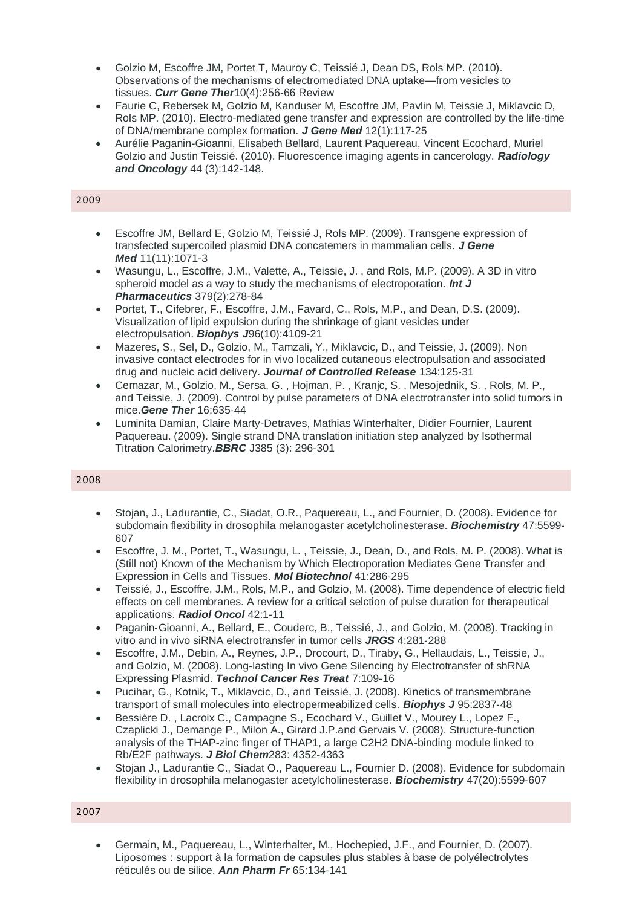- Golzio M, Escoffre JM, Portet T, Mauroy C, Teissié J, Dean DS, Rols MP. (2010). Observations of the mechanisms of electromediated DNA uptake—from vesicles to tissues. *Curr Gene Ther*10(4):256-66 Review
- Faurie C, Rebersek M, Golzio M, Kanduser M, Escoffre JM, Pavlin M, Teissie J, Miklavcic D, Rols MP. (2010). Electro-mediated gene transfer and expression are controlled by the life-time of DNA/membrane complex formation. *J Gene Med* 12(1):117-25
- Aurélie Paganin-Gioanni, Elisabeth Bellard, Laurent Paquereau, Vincent Ecochard, Muriel Golzio and Justin Teissié. (2010). Fluorescence imaging agents in cancerology. *Radiology and Oncology* 44 (3):142-148.

- Escoffre JM, Bellard E, Golzio M, Teissié J, Rols MP. (2009). Transgene expression of transfected supercoiled plasmid DNA concatemers in mammalian cells. *J Gene Med* 11(11):1071-3
- Wasungu, L., Escoffre, J.M., Valette, A., Teissie, J. , and Rols, M.P. (2009). A 3D in vitro spheroid model as a way to study the mechanisms of electroporation. *Int J Pharmaceutics* 379(2):278-84
- Portet, T., Cifebrer, F., Escoffre, J.M., Favard, C., Rols, M.P., and Dean, D.S. (2009). Visualization of lipid expulsion during the shrinkage of giant vesicles under electropulsation. *Biophys J*96(10):4109-21
- Mazeres, S., Sel, D., Golzio, M., Tamzali, Y., Miklavcic, D., and Teissie, J. (2009). Non invasive contact electrodes for in vivo localized cutaneous electropulsation and associated drug and nucleic acid delivery. *Journal of Controlled Release* 134:125‐31
- Cemazar, M., Golzio, M., Sersa, G. , Hojman, P. , Kranjc, S. , Mesojednik, S. , Rols, M. P., and Teissie, J. (2009). Control by pulse parameters of DNA electrotransfer into solid tumors in mice.*Gene Ther* 16:635‐44
- Luminita Damian, Claire Marty-Detraves, Mathias Winterhalter, Didier Fournier, Laurent Paquereau. (2009). Single strand DNA translation initiation step analyzed by Isothermal Titration Calorimetry.*BBRC* J385 (3): 296-301

#### 2008

- Stojan, J., Ladurantie, C., Siadat, O.R., Paquereau, L., and Fournier, D. (2008). Evidence for subdomain flexibility in drosophila melanogaster acetylcholinesterase. *Biochemistry* 47:5599‐ 607
- Escoffre, J. M., Portet, T., Wasungu, L. , Teissie, J., Dean, D., and Rols, M. P. (2008). What is (Still not) Known of the Mechanism by Which Electroporation Mediates Gene Transfer and Expression in Cells and Tissues. *Mol Biotechnol* 41:286‐295
- Teissié, J., Escoffre, J.M., Rols, M.P., and Golzio, M. (2008). Time dependence of electric field effects on cell membranes. A review for a critical selction of pulse duration for therapeutical applications. *Radiol Oncol* 42:1‐11
- Paganin‐Gioanni, A., Bellard, E., Couderc, B., Teissié, J., and Golzio, M. (2008). Tracking in vitro and in vivo siRNA electrotransfer in tumor cells *JRGS* 4:281‐288
- Escoffre, J.M., Debin, A., Reynes, J.P., Drocourt, D., Tiraby, G., Hellaudais, L., Teissie, J., and Golzio, M. (2008). Long‐lasting In vivo Gene Silencing by Electrotransfer of shRNA Expressing Plasmid. *Technol Cancer Res Treat* 7:109‐16
- Pucihar, G., Kotnik, T., Miklavcic, D., and Teissié, J. (2008). Kinetics of transmembrane transport of small molecules into electropermeabilized cells. *Biophys J* 95:2837‐48
- Bessière D. , Lacroix C., Campagne S., Ecochard V., Guillet V., Mourey L., Lopez F., Czaplicki J., Demange P., Milon A., Girard J.P.and Gervais V. (2008). Structure-function analysis of the THAP-zinc finger of THAP1, a large C2H2 DNA-binding module linked to Rb/E2F pathways. *J Biol Chem*283: 4352-4363
- Stojan J., Ladurantie C., Siadat O., Paquereau L., Fournier D. (2008). Evidence for subdomain flexibility in drosophila melanogaster acetylcholinesterase. *Biochemistry* 47(20):5599-607

#### 2007

 Germain, M., Paquereau, L., Winterhalter, M., Hochepied, J.F., and Fournier, D. (2007). Liposomes : support à la formation de capsules plus stables à base de polyélectrolytes réticulés ou de silice. *Ann Pharm Fr* 65:134‐141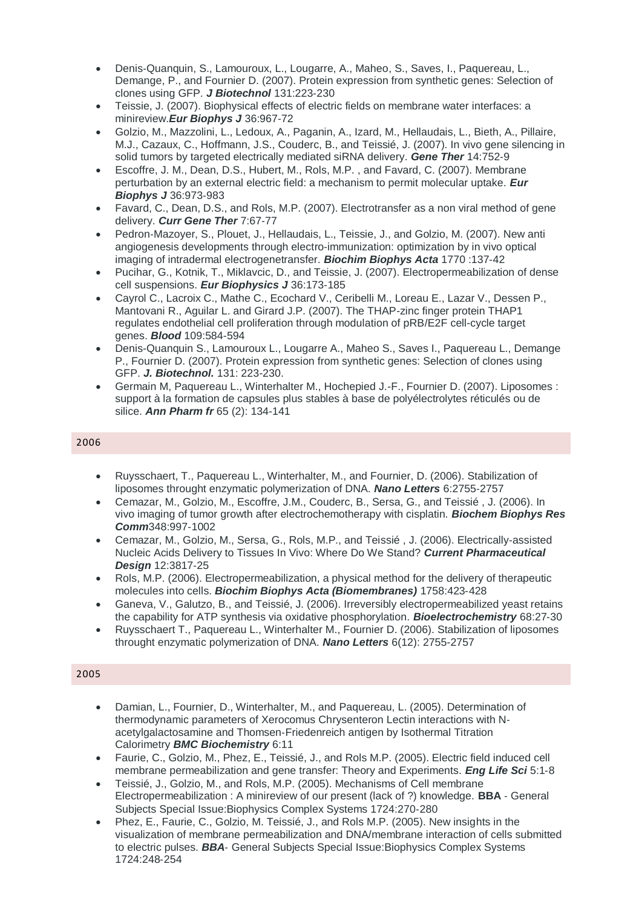- Denis-Quanquin, S., Lamouroux, L., Lougarre, A., Maheo, S., Saves, I., Paquereau, L., Demange, P., and Fournier D. (2007). Protein expression from synthetic genes: Selection of clones using GFP. *J Biotechnol* 131:223‐230
- Teissie, J. (2007). Biophysical effects of electric fields on membrane water interfaces: a minireview.*Eur Biophys J* 36:967‐72
- Golzio, M., Mazzolini, L., Ledoux, A., Paganin, A., Izard, M., Hellaudais, L., Bieth, A., Pillaire, M.J., Cazaux, C., Hoffmann, J.S., Couderc, B., and Teissié, J. (2007). In vivo gene silencing in solid tumors by targeted electrically mediated siRNA delivery. *Gene Ther* 14:752‐9
- Escoffre, J. M., Dean, D.S., Hubert, M., Rols, M.P. , and Favard, C. (2007). Membrane perturbation by an external electric field: a mechanism to permit molecular uptake. *Eur Biophys J* 36:973‐983
- Favard, C., Dean, D.S., and Rols, M.P. (2007). Electrotransfer as a non viral method of gene delivery. *Curr Gene Ther* 7:67‐77
- Pedron‐Mazoyer, S., Plouet, J., Hellaudais, L., Teissie, J., and Golzio, M. (2007). New anti angiogenesis developments through electro‐immunization: optimization by in vivo optical imaging of intradermal electrogenetransfer. *Biochim Biophys Acta* 1770 :137‐42
- Pucihar, G., Kotnik, T., Miklavcic, D., and Teissie, J. (2007). Electropermeabilization of dense cell suspensions. *Eur Biophysics J* 36:173‐185
- Cayrol C., Lacroix C., Mathe C., Ecochard V., Ceribelli M., Loreau E., Lazar V., Dessen P., Mantovani R., Aguilar L. and Girard J.P. (2007). The THAP-zinc finger protein THAP1 regulates endothelial cell proliferation through modulation of pRB/E2F cell-cycle target genes. *Blood* 109:584-594
- Denis-Quanquin S., Lamouroux L., Lougarre A., Maheo S., Saves I., Paquereau L., Demange P., Fournier D. (2007). Protein expression from synthetic genes: Selection of clones using GFP. *J. Biotechnol.* 131: 223-230.
- Germain M, Paquereau L., Winterhalter M., Hochepied J.-F., Fournier D. (2007). Liposomes : support à la formation de capsules plus stables à base de polyélectrolytes réticulés ou de silice. *Ann Pharm fr* 65 (2): 134-141

- Ruysschaert, T., Paquereau L., Winterhalter, M., and Fournier, D. (2006). Stabilization of liposomes throught enzymatic polymerization of DNA. *Nano Letters* 6:2755‐2757
- Cemazar, M., Golzio, M., Escoffre, J.M., Couderc, B., Sersa, G., and Teissié , J. (2006). In vivo imaging of tumor growth after electrochemotherapy with cisplatin. *Biochem Biophys Res Comm*348:997‐1002
- Cemazar, M., Golzio, M., Sersa, G., Rols, M.P., and Teissié , J. (2006). Electrically‐assisted Nucleic Acids Delivery to Tissues In Vivo: Where Do We Stand? *Current Pharmaceutical Design* 12:3817‐25
- Rols, M.P. (2006). Electropermeabilization, a physical method for the delivery of therapeutic molecules into cells. *Biochim Biophys Acta (Biomembranes)* 1758:423‐428
- Ganeva, V., Galutzo, B., and Teissié, J. (2006). Irreversibly electropermeabilized yeast retains the capability for ATP synthesis via oxidative phosphorylation. *Bioelectrochemistry* 68:27‐30
- Ruysschaert T., Paquereau L., Winterhalter M., Fournier D. (2006). Stabilization of liposomes throught enzymatic polymerization of DNA. *Nano Letters* 6(12): 2755-2757

- Damian, L., Fournier, D., Winterhalter, M., and Paquereau, L. (2005). Determination of thermodynamic parameters of Xerocomus Chrysenteron Lectin interactions with N‐ acetylgalactosamine and Thomsen‐Friedenreich antigen by Isothermal Titration Calorimetry *BMC Biochemistry* 6:11
- Faurie, C., Golzio, M., Phez, E., Teissié, J., and Rols M.P. (2005). Electric field induced cell membrane permeabilization and gene transfer: Theory and Experiments. *Eng Life Sci* 5:1‐8
- Teissié, J., Golzio, M., and Rols, M.P. (2005). Mechanisms of Cell membrane Electropermeabilization : A minireview of our present (lack of ?) knowledge. **BBA** ‐ General Subjects Special Issue:Biophysics Complex Systems 1724:270‐280
- Phez, E., Faurie, C., Golzio, M. Teissié, J., and Rols M.P. (2005). New insights in the visualization of membrane permeabilization and DNA/membrane interaction of cells submitted to electric pulses. *BBA*‐ General Subjects Special Issue:Biophysics Complex Systems 1724:248‐254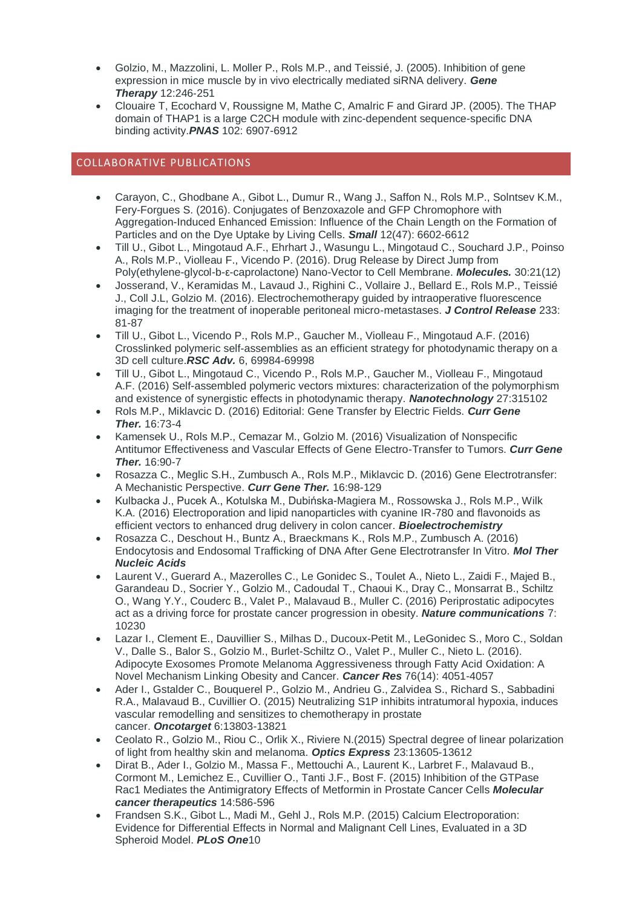- Golzio, M., Mazzolini, L. Moller P., Rols M.P., and Teissié, J. (2005). Inhibition of gene expression in mice muscle by in vivo electrically mediated siRNA delivery. *Gene Therapy* 12:246‐251
- Clouaire T, Ecochard V, Roussigne M, Mathe C, Amalric F and Girard JP. (2005). The THAP domain of THAP1 is a large C2CH module with zinc-dependent sequence-specific DNA binding activity.*PNAS* 102: 6907-6912

## COLLABORATIVE PUBLICATIONS

- Carayon, C., Ghodbane A., Gibot L., Dumur R., Wang J., Saffon N., Rols M.P., Solntsev K.M., Fery-Forgues S. (2016). Conjugates of Benzoxazole and GFP Chromophore with Aggregation-Induced Enhanced Emission: Influence of the Chain Length on the Formation of Particles and on the Dye Uptake by Living Cells. *Small* 12(47): 6602-6612
- Till U., Gibot L., Mingotaud A.F., Ehrhart J., Wasungu L., Mingotaud C., Souchard J.P., Poinso A., Rols M.P., Violleau F., Vicendo P. (2016). Drug Release by Direct Jump from Poly(ethylene-glycol-b-ε-caprolactone) Nano-Vector to Cell Membrane. *Molecules.* 30:21(12)
- Josserand, V., Keramidas M., Lavaud J., Righini C., Vollaire J., Bellard E., Rols M.P., Teissié J., Coll J.L, Golzio M. (2016). Electrochemotherapy guided by intraoperative fluorescence imaging for the treatment of inoperable peritoneal micro-metastases. *J Control Release* 233: 81-87
- Till U., Gibot L., Vicendo P., Rols M.P., Gaucher M., Violleau F., Mingotaud A.F. (2016) Crosslinked polymeric self-assemblies as an efficient strategy for photodynamic therapy on a 3D cell culture.*RSC Adv.* 6, 69984-69998
- Till U., Gibot L., Mingotaud C., Vicendo P., Rols M.P., Gaucher M., Violleau F., Mingotaud A.F. (2016) Self-assembled polymeric vectors mixtures: characterization of the polymorphism and existence of synergistic effects in photodynamic therapy. *Nanotechnology* 27:315102
- Rols M.P., Miklavcic D. (2016) Editorial: Gene Transfer by Electric Fields. *Curr Gene Ther.* 16:73-4
- Kamensek U., Rols M.P., Cemazar M., Golzio M. (2016) Visualization of Nonspecific Antitumor Effectiveness and Vascular Effects of Gene Electro-Transfer to Tumors. *Curr Gene Ther.* 16:90-7
- Rosazza C., Meglic S.H., Zumbusch A., Rols M.P., Miklavcic D. (2016) Gene Electrotransfer: A Mechanistic Perspective. *Curr Gene Ther.* 16:98-129
- Kulbacka J., Pucek A., Kotulska M., Dubińska-Magiera M., Rossowska J., Rols M.P., Wilk K.A. (2016) Electroporation and lipid nanoparticles with cyanine IR-780 and flavonoids as efficient vectors to enhanced drug delivery in colon cancer. *Bioelectrochemistry*
- Rosazza C., Deschout H., Buntz A., Braeckmans K., Rols M.P., Zumbusch A. (2016) Endocytosis and Endosomal Trafficking of DNA After Gene Electrotransfer In Vitro. *Mol Ther Nucleic Acids*
- Laurent V., Guerard A., Mazerolles C., Le Gonidec S., Toulet A., Nieto L., Zaidi F., Majed B., Garandeau D., Socrier Y., Golzio M., Cadoudal T., Chaoui K., Dray C., Monsarrat B., Schiltz O., Wang Y.Y., Couderc B., Valet P., Malavaud B., Muller C. (2016) Periprostatic adipocytes act as a driving force for prostate cancer progression in obesity. *Nature communications* 7: 10230
- Lazar I., Clement E., Dauvillier S., Milhas D., Ducoux-Petit M., LeGonidec S., Moro C., Soldan V., Dalle S., Balor S., Golzio M., Burlet-Schiltz O., Valet P., Muller C., Nieto L. (2016). Adipocyte Exosomes Promote Melanoma Aggressiveness through Fatty Acid Oxidation: A Novel Mechanism Linking Obesity and Cancer. *Cancer Res* 76(14): 4051-4057
- Ader I., Gstalder C., Bouquerel P., Golzio M., Andrieu G., Zalvidea S., Richard S., Sabbadini R.A., Malavaud B., Cuvillier O. (2015) Neutralizing S1P inhibits intratumoral hypoxia, induces vascular remodelling and sensitizes to chemotherapy in prostate cancer. *Oncotarget* 6:13803-13821
- Ceolato R., Golzio M., Riou C., Orlik X., Riviere N.(2015) Spectral degree of linear polarization of light from healthy skin and melanoma. *Optics Express* 23:13605-13612
- Dirat B., Ader I., Golzio M., Massa F., Mettouchi A., Laurent K., Larbret F., Malavaud B., Cormont M., Lemichez E., Cuvillier O., Tanti J.F., Bost F. (2015) Inhibition of the GTPase Rac1 Mediates the Antimigratory Effects of Metformin in Prostate Cancer Cells *Molecular cancer therapeutics* 14:586-596
- Frandsen S.K., Gibot L., Madi M., Gehl J., Rols M.P. (2015) Calcium Electroporation: Evidence for Differential Effects in Normal and Malignant Cell Lines, Evaluated in a 3D Spheroid Model. *PLoS One*10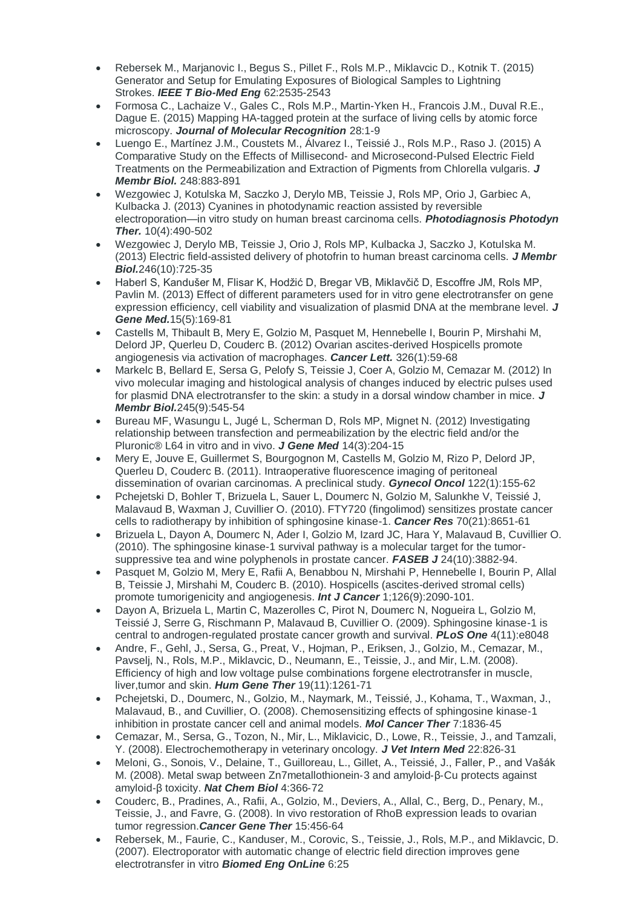- Rebersek M., Marjanovic I., Begus S., Pillet F., Rols M.P., Miklavcic D., Kotnik T. (2015) Generator and Setup for Emulating Exposures of Biological Samples to Lightning Strokes. *IEEE T Bio-Med Eng* 62:2535-2543
- Formosa C., Lachaize V., Gales C., Rols M.P., Martin-Yken H., Francois J.M., Duval R.E., Dague E. (2015) Mapping HA-tagged protein at the surface of living cells by atomic force microscopy. *Journal of Molecular Recognition* 28:1-9
- Luengo E., Martínez J.M., Coustets M., Álvarez I., Teissié J., Rols M.P., Raso J. (2015) A Comparative Study on the Effects of Millisecond- and Microsecond-Pulsed Electric Field Treatments on the Permeabilization and Extraction of Pigments from Chlorella vulgaris. *J Membr Biol.* 248:883-891
- Wezgowiec J, Kotulska M, Saczko J, Derylo MB, Teissie J, Rols MP, Orio J, Garbiec A, Kulbacka J. (2013) Cyanines in photodynamic reaction assisted by reversible electroporation—in vitro study on human breast carcinoma cells. *Photodiagnosis Photodyn Ther.* 10(4):490-502
- Wezgowiec J, Derylo MB, Teissie J, Orio J, Rols MP, Kulbacka J, Saczko J, Kotulska M. (2013) Electric field-assisted delivery of photofrin to human breast carcinoma cells. *J Membr Biol.*246(10):725-35
- Haberl S, Kandušer M, Flisar K, Hodžić D, Bregar VB, Miklavčič D, Escoffre JM, Rols MP, Pavlin M. (2013) Effect of different parameters used for in vitro gene electrotransfer on gene expression efficiency, cell viability and visualization of plasmid DNA at the membrane level. *J Gene Med.*15(5):169-81
- Castells M, Thibault B, Mery E, Golzio M, Pasquet M, Hennebelle I, Bourin P, Mirshahi M, Delord JP, Querleu D, Couderc B. (2012) Ovarian ascites-derived Hospicells promote angiogenesis via activation of macrophages. *Cancer Lett.* 326(1):59-68
- Markelc B, Bellard E, Sersa G, Pelofy S, Teissie J, Coer A, Golzio M, Cemazar M. (2012) In vivo molecular imaging and histological analysis of changes induced by electric pulses used for plasmid DNA electrotransfer to the skin: a study in a dorsal window chamber in mice. *J Membr Biol.*245(9):545-54
- Bureau MF, Wasungu L, Jugé L, Scherman D, Rols MP, Mignet N. (2012) Investigating relationship between transfection and permeabilization by the electric field and/or the Pluronic® L64 in vitro and in vivo. *J Gene Med* 14(3):204-15
- Mery E, Jouve E, Guillermet S, Bourgognon M, Castells M, Golzio M, Rizo P, Delord JP, Querleu D, Couderc B. (2011). Intraoperative fluorescence imaging of peritoneal dissemination of ovarian carcinomas. A preclinical study. *Gynecol Oncol* 122(1):155-62
- Pchejetski D, Bohler T, Brizuela L, Sauer L, Doumerc N, Golzio M, Salunkhe V, Teissié J, Malavaud B, Waxman J, Cuvillier O. (2010). FTY720 (fingolimod) sensitizes prostate cancer cells to radiotherapy by inhibition of sphingosine kinase-1. *Cancer Res* 70(21):8651-61
- Brizuela L, Dayon A, Doumerc N, Ader I, Golzio M, Izard JC, Hara Y, Malavaud B, Cuvillier O. (2010). The sphingosine kinase-1 survival pathway is a molecular target for the tumorsuppressive tea and wine polyphenols in prostate cancer. *FASEB J* 24(10):3882-94.
- Pasquet M, Golzio M, Mery E, Rafii A, Benabbou N, Mirshahi P, Hennebelle I, Bourin P, Allal B, Teissie J, Mirshahi M, Couderc B. (2010). Hospicells (ascites-derived stromal cells) promote tumorigenicity and angiogenesis. *Int J Cancer* 1;126(9):2090-101.
- Dayon A, Brizuela L, Martin C, Mazerolles C, Pirot N, Doumerc N, Nogueira L, Golzio M, Teissié J, Serre G, Rischmann P, Malavaud B, Cuvillier O. (2009). Sphingosine kinase-1 is central to androgen-regulated prostate cancer growth and survival. *PLoS One* 4(11):e8048
- Andre, F., Gehl, J., Sersa, G., Preat, V., Hojman, P., Eriksen, J., Golzio, M., Cemazar, M., Pavselj, N., Rols, M.P., Miklavcic, D., Neumann, E., Teissie, J., and Mir, L.M. (2008). Efficiency of high and low voltage pulse combinations forgene electrotransfer in muscle, liver,tumor and skin. *Hum Gene Ther* 19(11):1261-71
- Pchejetski, D., Doumerc, N., Golzio, M., Naymark, M., Teissié, J., Kohama, T., Waxman, J., Malavaud, B., and Cuvillier, O. (2008). Chemosensitizing effects of sphingosine kinase‐1 inhibition in prostate cancer cell and animal models. *Mol Cancer Ther* 7:1836‐45
- Cemazar, M., Sersa, G., Tozon, N., Mir, L., Miklavicic, D., Lowe, R., Teissie, J., and Tamzali, Y. (2008). Electrochemotherapy in veterinary oncology. *J Vet Intern Med* 22:826‐31
- Meloni, G., Sonois, V., Delaine, T., Guilloreau, L., Gillet, A., Teissié, J., Faller, P., and Vašák M. (2008). Metal swap between Zn7metallothionein‐3 and amyloid‐β‐Cu protects against amyloid‐β toxicity. *Nat Chem Biol* 4:366‐72
- Couderc, B., Pradines, A., Rafii, A., Golzio, M., Deviers, A., Allal, C., Berg, D., Penary, M., Teissie, J., and Favre, G. (2008). In vivo restoration of RhoB expression leads to ovarian tumor regression.*Cancer Gene Ther* 15:456‐64
- Rebersek, M., Faurie, C., Kanduser, M., Corovic, S., Teissie, J., Rols, M.P., and Miklavcic, D. (2007). Electroporator with automatic change of electric field direction improves gene electrotransfer in vitro *Biomed Eng OnLine* 6:25